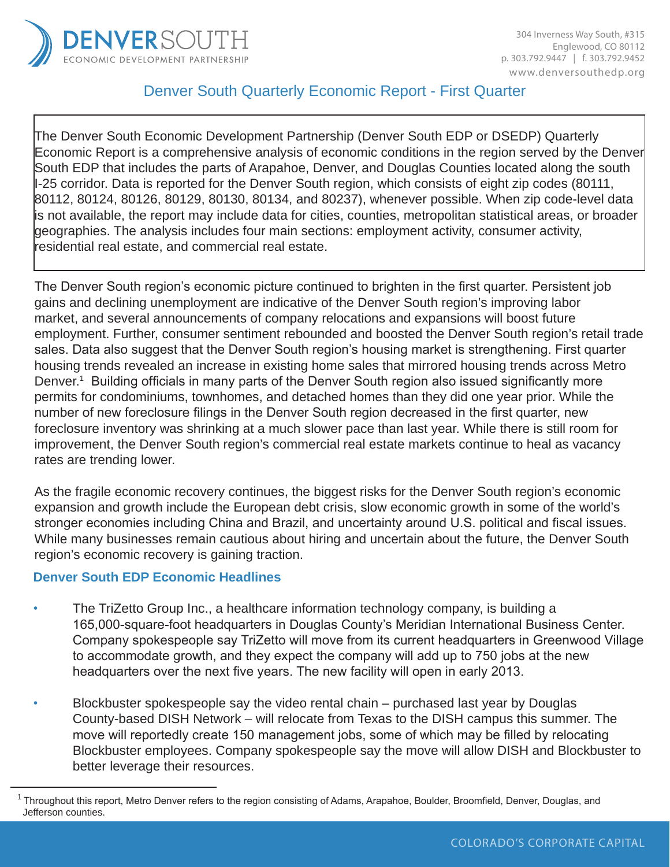

# Denver South Quarterly Economic Report - First Quarter

The Denver South Economic Development Partnership (Denver South EDP or DSEDP) Quarterly Economic Report is a comprehensive analysis of economic conditions in the region served by the Denver South EDP that includes the parts of Arapahoe, Denver, and Douglas Counties located along the south I-25 corridor. Data is reported for the Denver South region, which consists of eight zip codes (80111, 80112, 80124, 80126, 80129, 80130, 80134, and 80237), whenever possible. When zip code-level data is not available, the report may include data for cities, counties, metropolitan statistical areas, or broader geographies. The analysis includes four main sections: employment activity, consumer activity, residential real estate, and commercial real estate.

The Denver South region's economic picture continued to brighten in the first quarter. Persistent job gains and declining unemployment are indicative of the Denver South region's improving labor market, and several announcements of company relocations and expansions will boost future employment. Further, consumer sentiment rebounded and boosted the Denver South region's retail trade sales. Data also suggest that the Denver South region's housing market is strengthening. First quarter housing trends revealed an increase in existing home sales that mirrored housing trends across Metro Denver.<sup>1</sup> Building officials in many parts of the Denver South region also issued significantly more permits for condominiums, townhomes, and detached homes than they did one year prior. While the number of new foreclosure filings in the Denver South region decreased in the first quarter, new foreclosure inventory was shrinking at a much slower pace than last year. While there is still room for improvement, the Denver South region's commercial real estate markets continue to heal as vacancy rates are trending lower.

As the fragile economic recovery continues, the biggest risks for the Denver South region's economic expansion and growth include the European debt crisis, slow economic growth in some of the world's stronger economies including China and Brazil, and uncertainty around U.S. political and fiscal issues. While many businesses remain cautious about hiring and uncertain about the future, the Denver South region's economic recovery is gaining traction.

## **Denver South EDP Economic Headlines**

- The TriZetto Group Inc., a healthcare information technology company, is building a 165,000-square-foot headquarters in Douglas County's Meridian International Business Center. Company spokespeople say TriZetto will move from its current headquarters in Greenwood Village to accommodate growth, and they expect the company will add up to 750 jobs at the new headquarters over the next five years. The new facility will open in early 2013.
- Blockbuster spokespeople say the video rental chain purchased last year by Douglas County-based DISH Network – will relocate from Texas to the DISH campus this summer. The move will reportedly create 150 management jobs, some of which may be filled by relocating Blockbuster employees. Company spokespeople say the move will allow DISH and Blockbuster to better leverage their resources.

 $1$ Throughout this report, Metro Denver refers to the region consisting of Adams, Arapahoe, Boulder, Broomfield, Denver, Douglas, and Jefferson counties.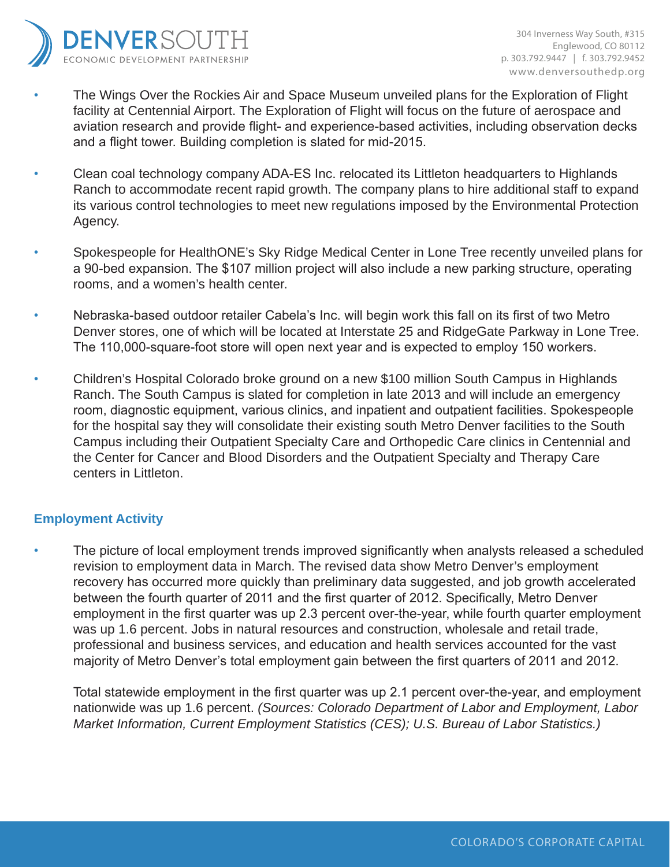

- The Wings Over the Rockies Air and Space Museum unveiled plans for the Exploration of Flight facility at Centennial Airport. The Exploration of Flight will focus on the future of aerospace and aviation research and provide flight- and experience-based activities, including observation decks and a flight tower. Building completion is slated for mid-2015.
- Clean coal technology company ADA-ES Inc. relocated its Littleton headquarters to Highlands Ranch to accommodate recent rapid growth. The company plans to hire additional staff to expand its various control technologies to meet new regulations imposed by the Environmental Protection Agency.
- Spokespeople for HealthONE's Sky Ridge Medical Center in Lone Tree recently unveiled plans for a 90-bed expansion. The \$107 million project will also include a new parking structure, operating rooms, and a women's health center.
- Nebraska-based outdoor retailer Cabela's Inc. will begin work this fall on its first of two Metro Denver stores, one of which will be located at Interstate 25 and RidgeGate Parkway in Lone Tree. The 110,000-square-foot store will open next year and is expected to employ 150 workers.
- Children's Hospital Colorado broke ground on a new \$100 million South Campus in Highlands Ranch. The South Campus is slated for completion in late 2013 and will include an emergency room, diagnostic equipment, various clinics, and inpatient and outpatient facilities. Spokespeople for the hospital say they will consolidate their existing south Metro Denver facilities to the South Campus including their Outpatient Specialty Care and Orthopedic Care clinics in Centennial and the Center for Cancer and Blood Disorders and the Outpatient Specialty and Therapy Care centers in Littleton.

# **Employment Activity**

• The picture of local employment trends improved significantly when analysts released a scheduled revision to employment data in March. The revised data show Metro Denver's employment recovery has occurred more quickly than preliminary data suggested, and job growth accelerated between the fourth quarter of 2011 and the first quarter of 2012. Specifically, Metro Denver employment in the first quarter was up 2.3 percent over-the-year, while fourth quarter employment was up 1.6 percent. Jobs in natural resources and construction, wholesale and retail trade, professional and business services, and education and health services accounted for the vast majority of Metro Denver's total employment gain between the first quarters of 2011 and 2012.

Total statewide employment in the first quarter was up 2.1 percent over-the-year, and employment nationwide was up 1.6 percent. *(Sources: Colorado Department of Labor and Employment, Labor Market Information, Current Employment Statistics (CES); U.S. Bureau of Labor Statistics.)*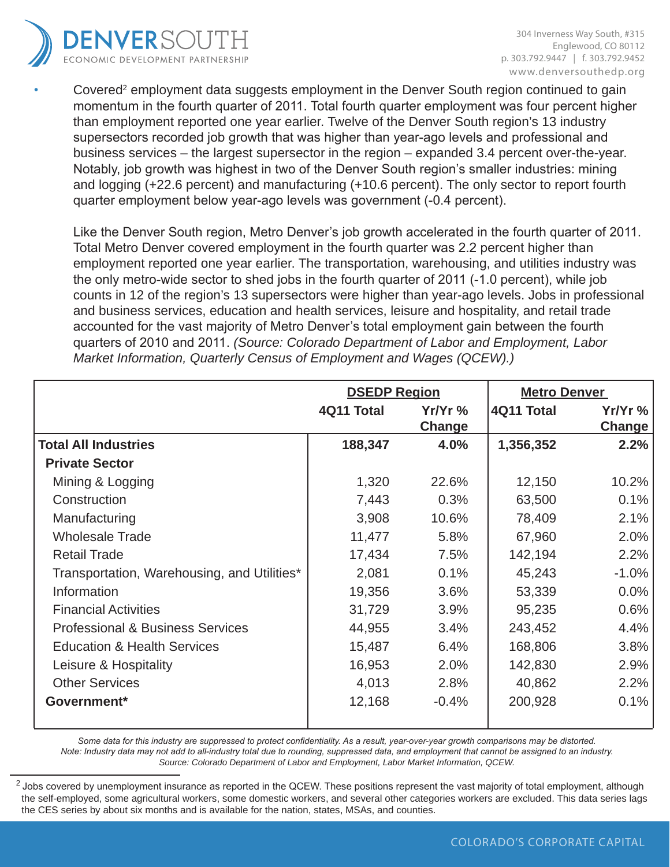

• Covered<sup>2</sup> employment data suggests employment in the Denver South region continued to gain momentum in the fourth quarter of 2011. Total fourth quarter employment was four percent higher than employment reported one year earlier. Twelve of the Denver South region's 13 industry supersectors recorded job growth that was higher than year-ago levels and professional and business services – the largest supersector in the region – expanded 3.4 percent over-the-year. Notably, job growth was highest in two of the Denver South region's smaller industries: mining and logging (+22.6 percent) and manufacturing (+10.6 percent). The only sector to report fourth quarter employment below year-ago levels was government (-0.4 percent).

Like the Denver South region, Metro Denver's job growth accelerated in the fourth quarter of 2011. Total Metro Denver covered employment in the fourth quarter was 2.2 percent higher than employment reported one year earlier. The transportation, warehousing, and utilities industry was the only metro-wide sector to shed jobs in the fourth quarter of 2011 (-1.0 percent), while job counts in 12 of the region's 13 supersectors were higher than year-ago levels. Jobs in professional and business services, education and health services, leisure and hospitality, and retail trade accounted for the vast majority of Metro Denver's total employment gain between the fourth quarters of 2010 and 2011. *(Source: Colorado Department of Labor and Employment, Labor Market Information, Quarterly Census of Employment and Wages (QCEW).)*

|                                             | <b>DSEDP Region</b> |           | <b>Metro Denver</b> |           |  |
|---------------------------------------------|---------------------|-----------|---------------------|-----------|--|
|                                             | 4Q11 Total          | $Yr/Yr$ % | 4Q11 Total          | $Yr/Yr$ % |  |
|                                             |                     | Change    |                     | Change    |  |
| <b>Total All Industries</b>                 | 188,347             | 4.0%      | 1,356,352           | 2.2%      |  |
| <b>Private Sector</b>                       |                     |           |                     |           |  |
| Mining & Logging                            | 1,320               | 22.6%     | 12,150              | 10.2%     |  |
| Construction                                | 7,443               | 0.3%      | 63,500              | 0.1%      |  |
| Manufacturing                               | 3,908               | 10.6%     | 78,409              | 2.1%      |  |
| <b>Wholesale Trade</b>                      | 11,477              | 5.8%      | 67,960              | 2.0%      |  |
| <b>Retail Trade</b>                         | 17,434              | 7.5%      | 142,194             | 2.2%      |  |
| Transportation, Warehousing, and Utilities* | 2,081               | 0.1%      | 45,243              | $-1.0%$   |  |
| Information                                 | 19,356              | 3.6%      | 53,339              | $0.0\%$   |  |
| <b>Financial Activities</b>                 | 31,729              | 3.9%      | 95,235              | 0.6%      |  |
| <b>Professional &amp; Business Services</b> | 44,955              | 3.4%      | 243,452             | 4.4%      |  |
| <b>Education &amp; Health Services</b>      | 15,487              | 6.4%      | 168,806             | 3.8%      |  |
| Leisure & Hospitality                       | 16,953              | 2.0%      | 142,830             | 2.9%      |  |
| <b>Other Services</b>                       | 4,013               | 2.8%      | 40,862              | 2.2%      |  |
| Government*                                 | 12,168              | $-0.4%$   | 200,928             | 0.1%      |  |

Some data for this industry are suppressed to protect confidentiality. As a result, year-over-year growth comparisons may be distorted. Note: Industry data may not add to all-industry total due to rounding, suppressed data, and employment that cannot be assigned to an industry. *Source: Colorado Department of Labor and Employment, Labor Market Information, QCEW.* 

 $^2$  Jobs covered by unemployment insurance as reported in the QCEW. These positions represent the vast majority of total employment, although the self-employed, some agricultural workers, some domestic workers, and several other categories workers are excluded. This data series lags the CES series by about six months and is available for the nation, states, MSAs, and counties.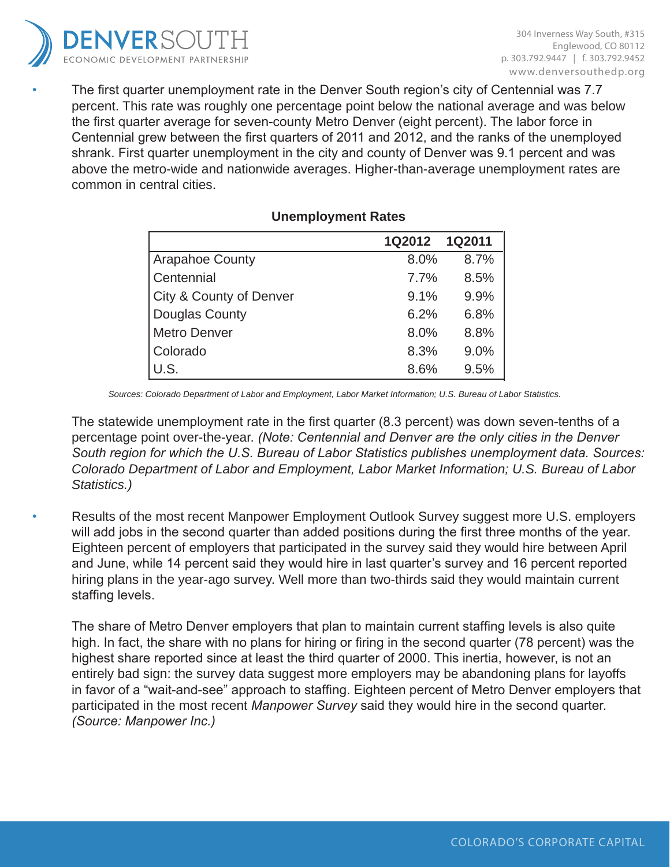

The first quarter unemployment rate in the Denver South region's city of Centennial was 7.7 percent. This rate was roughly one percentage point below the national average and was below the first quarter average for seven-county Metro Denver (eight percent). The labor force in Centennial grew between the first quarters of 2011 and 2012, and the ranks of the unemployed shrank. First quarter unemployment in the city and county of Denver was 9.1 percent and was above the metro-wide and nationwide averages. Higher-than-average unemployment rates are common in central cities.

|                         | 1Q2012 1Q2011 |      |
|-------------------------|---------------|------|
| <b>Arapahoe County</b>  | 8.0%          | 8.7% |
| Centennial              | 7.7%          | 8.5% |
| City & County of Denver | 9.1%          | 9.9% |
| <b>Douglas County</b>   | 6.2%          | 6.8% |
| <b>Metro Denver</b>     | 8.0%          | 8.8% |
| Colorado                | 8.3%          | 9.0% |
| U.S.                    | 8.6%          | 9.5% |

# **Unemployment Rates**

*Sources: Colorado Department of Labor and Employment, Labor Market Information; U.S. Bureau of Labor Statistics.*

The statewide unemployment rate in the first quarter (8.3 percent) was down seven-tenths of a percentage point over-the-year. *(Note: Centennial and Denver are the only cities in the Denver South region for which the U.S. Bureau of Labor Statistics publishes unemployment data. Sources: Colorado Department of Labor and Employment, Labor Market Information; U.S. Bureau of Labor Statistics.)*

• Results of the most recent Manpower Employment Outlook Survey suggest more U.S. employers will add jobs in the second quarter than added positions during the first three months of the year. Eighteen percent of employers that participated in the survey said they would hire between April and June, while 14 percent said they would hire in last quarter's survey and 16 percent reported hiring plans in the year-ago survey. Well more than two-thirds said they would maintain current staffing levels.

The share of Metro Denver employers that plan to maintain current staffing levels is also quite high. In fact, the share with no plans for hiring or firing in the second quarter (78 percent) was the highest share reported since at least the third quarter of 2000. This inertia, however, is not an entirely bad sign: the survey data suggest more employers may be abandoning plans for layoffs in favor of a "wait-and-see" approach to staffing. Eighteen percent of Metro Denver employers that participated in the most recent *Manpower Survey* said they would hire in the second quarter. *(Source: Manpower Inc.)*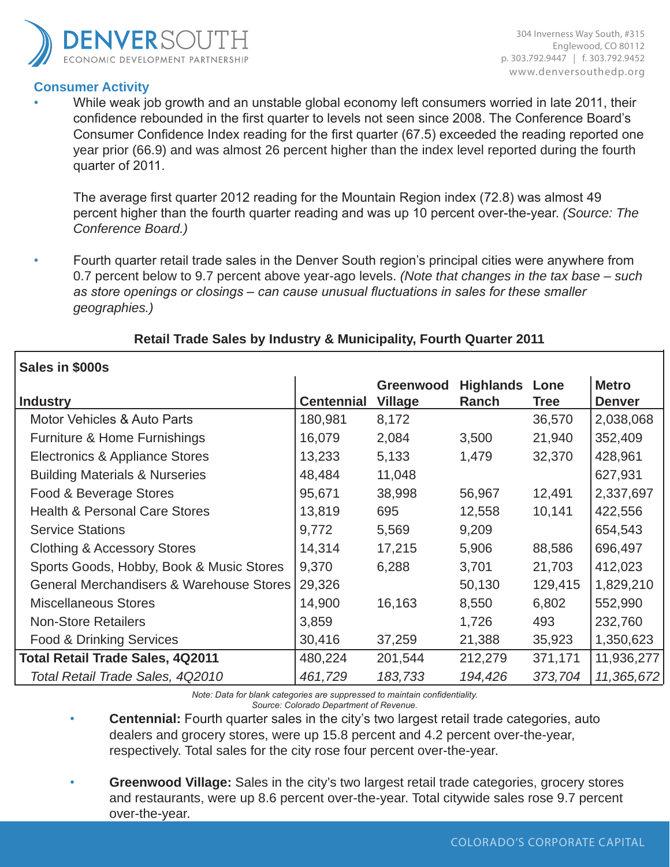

## **Consumer Activity**

304 Inverness Way South, #315 Englewood, CO 80112 p. 303.792.9447 | f. 303.792.9452 www.denversouthedp.org

• While weak job growth and an unstable global economy left consumers worried in late 2011, their confidence rebounded in the first quarter to levels not seen since 2008. The Conference Board's Consumer Confidence Index reading for the first quarter (67.5) exceeded the reading reported one year prior (66.9) and was almost 26 percent higher than the index level reported during the fourth quarter of 2011.

The average first quarter 2012 reading for the Mountain Region index (72.8) was almost 49 percent higher than the fourth quarter reading and was up 10 percent over-the-year. *(Source: The Conference Board.)*

• Fourth quarter retail trade sales in the Denver South region's principal cities were anywhere from 0.7 percent below to 9.7 percent above year-ago levels. *(Note that changes in the tax base – such as store openings or closings – can cause unusual fluctuations in sales for these smaller geographies.)*

# **Retail Trade Sales by Industry & Municipality, Fourth Quarter 2011**

| Sales in \$000s                                     |                   |                |                  |             |               |
|-----------------------------------------------------|-------------------|----------------|------------------|-------------|---------------|
|                                                     |                   | Greenwood      | <b>Highlands</b> | Lone        | <b>Metro</b>  |
| <b>Industry</b>                                     | <b>Centennial</b> | <b>Village</b> | Ranch            | <b>Tree</b> | <b>Denver</b> |
| Motor Vehicles & Auto Parts                         | 180,981           | 8,172          |                  | 36,570      | 2,038,068     |
| Furniture & Home Furnishings                        | 16,079            | 2,084          | 3,500            | 21,940      | 352,409       |
| Electronics & Appliance Stores                      | 13,233            | 5,133          | 1,479            | 32,370      | 428,961       |
| <b>Building Materials &amp; Nurseries</b>           | 48,484            | 11,048         |                  |             | 627,931       |
| Food & Beverage Stores                              | 95,671            | 38,998         | 56,967           | 12,491      | 2,337,697     |
| <b>Health &amp; Personal Care Stores</b>            | 13,819            | 695            | 12,558           | 10,141      | 422,556       |
| <b>Service Stations</b>                             | 9,772             | 5,569          | 9,209            |             | 654,543       |
| <b>Clothing &amp; Accessory Stores</b>              | 14,314            | 17,215         | 5,906            | 88,586      | 696,497       |
| Sports Goods, Hobby, Book & Music Stores            | 9,370             | 6,288          | 3,701            | 21,703      | 412,023       |
| <b>General Merchandisers &amp; Warehouse Stores</b> | 29,326            |                | 50,130           | 129,415     | 1,829,210     |
| <b>Miscellaneous Stores</b>                         | 14,900            | 16,163         | 8,550            | 6,802       | 552,990       |
| <b>Non-Store Retailers</b>                          | 3,859             |                | 1,726            | 493         | 232,760       |
| <b>Food &amp; Drinking Services</b>                 | 30,416            | 37,259         | 21,388           | 35,923      | 1,350,623     |
| <b>Total Retail Trade Sales, 4Q2011</b>             | 480,224           | 201,544        | 212,279          | 371,171     | 11,936,277    |
| Total Retail Trade Sales, 4Q2010                    | 461,729           | 183,733        | 194,426          | 373,704     | 11,365,672    |

*Note: Data for blank categories are suppressed to maintain confidentiality. Source: Colorado Department of Revenue.*

**Centennial:** Fourth quarter sales in the city's two largest retail trade categories, auto dealers and grocery stores, were up 15.8 percent and 4.2 percent over-the-year, respectively. Total sales for the city rose four percent over-the-year.

• **Greenwood Village:** Sales in the city's two largest retail trade categories, grocery stores and restaurants, were up 8.6 percent over-the-year. Total citywide sales rose 9.7 percent over-the-year.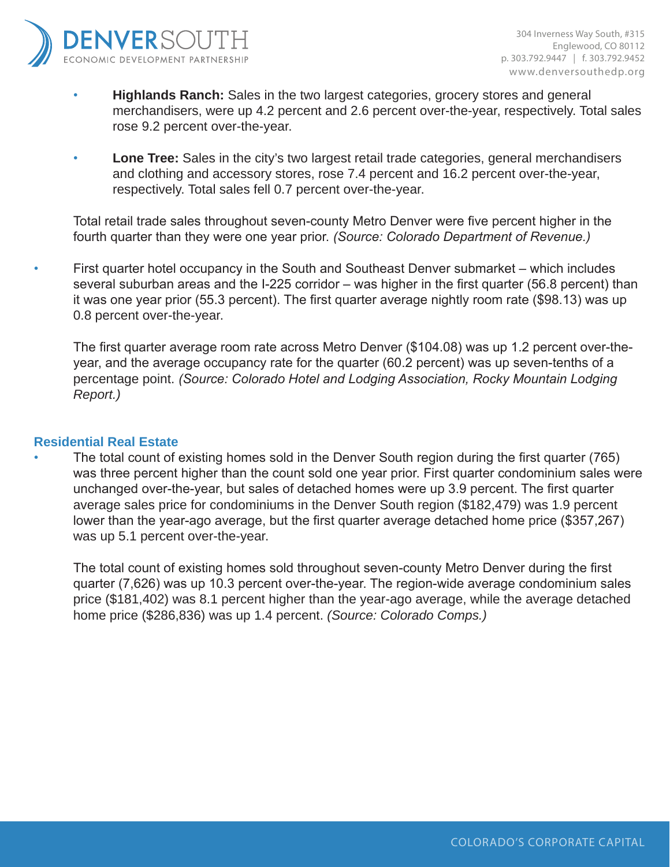

- **Highlands Ranch:** Sales in the two largest categories, grocery stores and general merchandisers, were up 4.2 percent and 2.6 percent over-the-year, respectively. Total sales rose 9.2 percent over-the-year.
- **Lone Tree:** Sales in the city's two largest retail trade categories, general merchandisers and clothing and accessory stores, rose 7.4 percent and 16.2 percent over-the-year, respectively. Total sales fell 0.7 percent over-the-year.

Total retail trade sales throughout seven-county Metro Denver were five percent higher in the fourth quarter than they were one year prior. *(Source: Colorado Department of Revenue.)*

• First quarter hotel occupancy in the South and Southeast Denver submarket – which includes several suburban areas and the I-225 corridor – was higher in the first quarter (56.8 percent) than it was one year prior (55.3 percent). The first quarter average nightly room rate (\$98.13) was up 0.8 percent over-the-year.

The first quarter average room rate across Metro Denver (\$104.08) was up 1.2 percent over-theyear, and the average occupancy rate for the quarter (60.2 percent) was up seven-tenths of a percentage point. *(Source: Colorado Hotel and Lodging Association, Rocky Mountain Lodging Report.)*

## **Residential Real Estate**

• The total count of existing homes sold in the Denver South region during the first quarter (765) was three percent higher than the count sold one year prior. First quarter condominium sales were unchanged over-the-year, but sales of detached homes were up 3.9 percent. The first quarter average sales price for condominiums in the Denver South region (\$182,479) was 1.9 percent lower than the year-ago average, but the first quarter average detached home price (\$357,267) was up 5.1 percent over-the-year.

The total count of existing homes sold throughout seven-county Metro Denver during the first quarter (7,626) was up 10.3 percent over-the-year. The region-wide average condominium sales price (\$181,402) was 8.1 percent higher than the year-ago average, while the average detached home price (\$286,836) was up 1.4 percent. *(Source: Colorado Comps.)*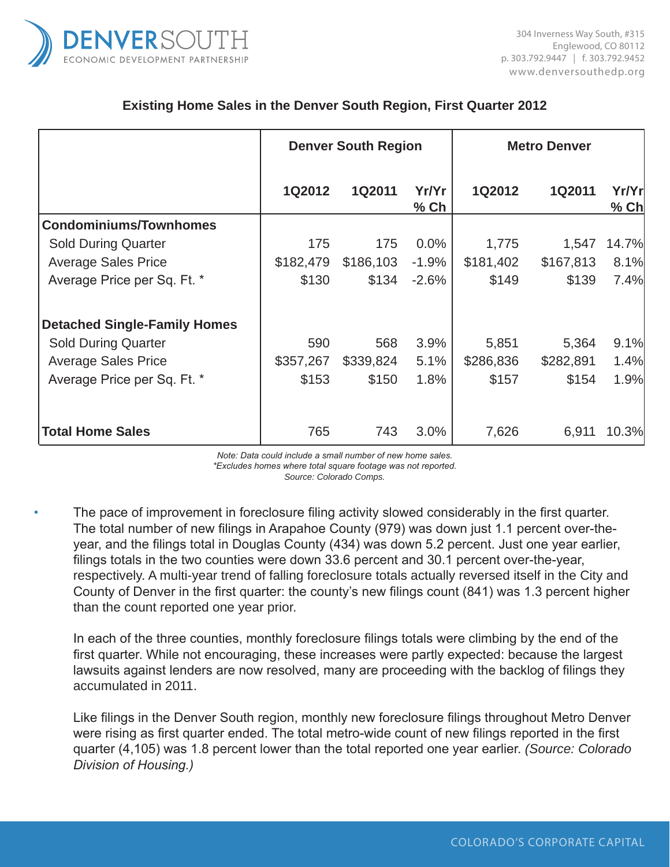

## **Existing Home Sales in the Denver South Region, First Quarter 2012**

|                                     | <b>Denver South Region</b> |           |               | <b>Metro Denver</b> |           |                 |
|-------------------------------------|----------------------------|-----------|---------------|---------------------|-----------|-----------------|
|                                     | 1Q2012                     | 1Q2011    | Yr/Yr<br>% Ch | 1Q2012              | 1Q2011    | Yr/Yr<br>$%$ Ch |
| <b>Condominiums/Townhomes</b>       |                            |           |               |                     |           |                 |
| <b>Sold During Quarter</b>          | 175                        | 175       | 0.0%          | 1,775               | 1,547     | 14.7%           |
| <b>Average Sales Price</b>          | \$182,479                  | \$186,103 | $-1.9%$       | \$181,402           | \$167,813 | 8.1%            |
| Average Price per Sq. Ft. *         | \$130                      | \$134     | $-2.6%$       | \$149               | \$139     | 7.4%            |
| <b>Detached Single-Family Homes</b> |                            |           |               |                     |           |                 |
| <b>Sold During Quarter</b>          | 590                        | 568       | 3.9%          | 5,851               | 5,364     | 9.1%            |
| <b>Average Sales Price</b>          | \$357,267                  | \$339,824 | 5.1%          | \$286,836           | \$282,891 | 1.4%            |
| Average Price per Sq. Ft. *         | \$153                      | \$150     | 1.8%          | \$157               | \$154     | 1.9%            |
|                                     |                            |           |               |                     |           |                 |
| <b>Total Home Sales</b>             | 765                        | 743       | 3.0%          | 7,626               | 6,911     | 10.3%           |

*Note: Data could include a small number of new home sales. \*Excludes homes where total square footage was not reported. Source: Colorado Comps.*

The pace of improvement in foreclosure filing activity slowed considerably in the first quarter. The total number of new filings in Arapahoe County (979) was down just 1.1 percent over-theyear, and the filings total in Douglas County (434) was down 5.2 percent. Just one year earlier, filings totals in the two counties were down 33.6 percent and 30.1 percent over-the-year, respectively. A multi-year trend of falling foreclosure totals actually reversed itself in the City and County of Denver in the first quarter: the county's new filings count (841) was 1.3 percent higher than the count reported one year prior.

In each of the three counties, monthly foreclosure filings totals were climbing by the end of the first quarter. While not encouraging, these increases were partly expected: because the largest lawsuits against lenders are now resolved, many are proceeding with the backlog of filings they accumulated in 2011.

Like filings in the Denver South region, monthly new foreclosure filings throughout Metro Denver were rising as first quarter ended. The total metro-wide count of new filings reported in the first quarter (4,105) was 1.8 percent lower than the total reported one year earlier. *(Source: Colorado Division of Housing.)*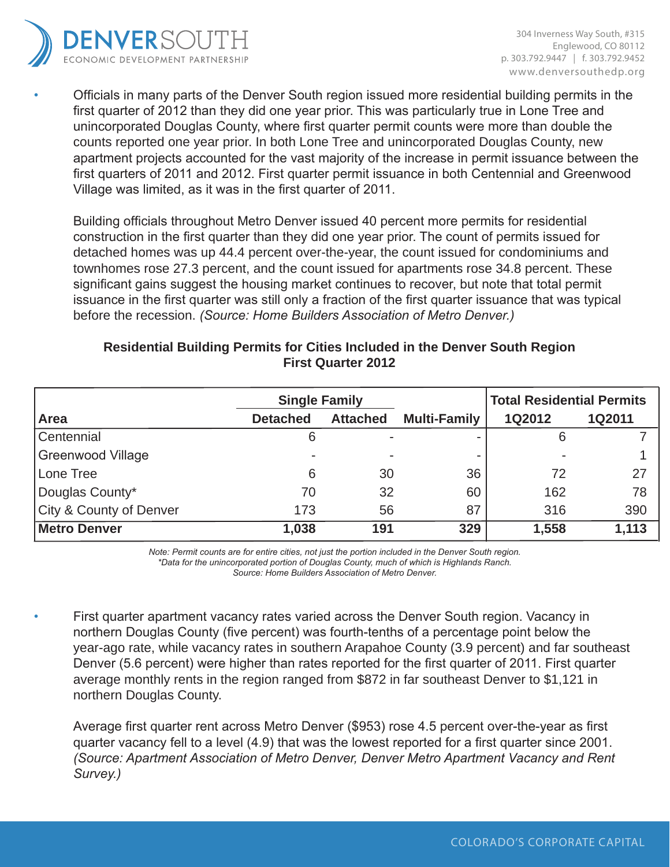

• Officials in many parts of the Denver South region issued more residential building permits in the first quarter of 2012 than they did one year prior. This was particularly true in Lone Tree and unincorporated Douglas County, where first quarter permit counts were more than double the counts reported one year prior. In both Lone Tree and unincorporated Douglas County, new apartment projects accounted for the vast majority of the increase in permit issuance between the first quarters of 2011 and 2012. First quarter permit issuance in both Centennial and Greenwood Village was limited, as it was in the first quarter of 2011.

Building officials throughout Metro Denver issued 40 percent more permits for residential construction in the first quarter than they did one year prior. The count of permits issued for detached homes was up 44.4 percent over-the-year, the count issued for condominiums and townhomes rose 27.3 percent, and the count issued for apartments rose 34.8 percent. These significant gains suggest the housing market continues to recover, but note that total permit issuance in the first quarter was still only a fraction of the first quarter issuance that was typical before the recession. *(Source: Home Builders Association of Metro Denver.)*

|                          | <b>Single Family</b> |                 |                     | <b>Total Residential Permits</b> |               |  |
|--------------------------|----------------------|-----------------|---------------------|----------------------------------|---------------|--|
| Area                     | <b>Detached</b>      | <b>Attached</b> | <b>Multi-Family</b> | <b>1Q2012</b>                    | <b>1Q2011</b> |  |
| Centennial               | 6                    |                 |                     | 6                                |               |  |
| <b>Greenwood Village</b> |                      |                 |                     |                                  |               |  |
| Lone Tree                | 6                    | 30              | 36                  | 72                               | 27            |  |
| Douglas County*          | 70                   | 32              | 60                  | 162                              | 78            |  |
| City & County of Denver  | 173                  | 56              | 87                  | 316                              | 390           |  |
| <b>Metro Denver</b>      | 1,038                | 191             | 329                 | 1,558                            | 1,113         |  |

## **Residential Building Permits for Cities Included in the Denver South Region First Quarter 2012**

*Note: Permit counts are for entire cities, not just the portion included in the Denver South region. \*Data for the unincorporated portion of Douglas County, much of which is Highlands Ranch.*

*Source: Home Builders Association of Metro Denver.*

First quarter apartment vacancy rates varied across the Denver South region. Vacancy in northern Douglas County (five percent) was fourth-tenths of a percentage point below the year-ago rate, while vacancy rates in southern Arapahoe County (3.9 percent) and far southeast Denver (5.6 percent) were higher than rates reported for the first quarter of 2011. First quarter average monthly rents in the region ranged from \$872 in far southeast Denver to \$1,121 in northern Douglas County.

Average first quarter rent across Metro Denver (\$953) rose 4.5 percent over-the-year as first quarter vacancy fell to a level (4.9) that was the lowest reported for a first quarter since 2001. *(Source: Apartment Association of Metro Denver, Denver Metro Apartment Vacancy and Rent Survey.)*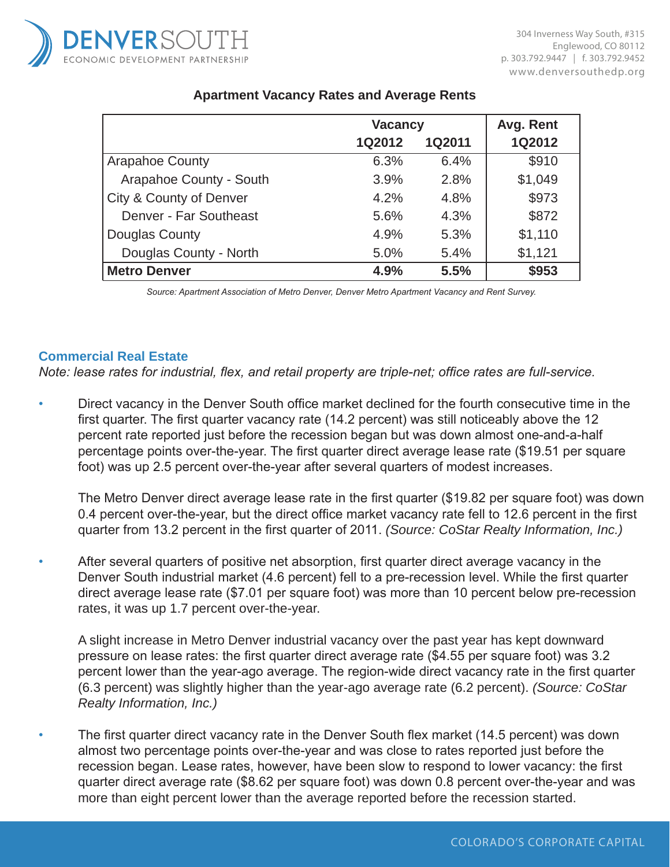

|                         | <b>Vacancy</b> | Avg. Rent     |         |
|-------------------------|----------------|---------------|---------|
|                         | <b>1Q2012</b>  | <b>1Q2011</b> | 1Q2012  |
| <b>Arapahoe County</b>  | 6.3%           | 6.4%          | \$910   |
| Arapahoe County - South | 3.9%           | 2.8%          | \$1,049 |
| City & County of Denver | 4.2%           | 4.8%          | \$973   |
| Denver - Far Southeast  | 5.6%           | 4.3%          | \$872   |
| Douglas County          | 4.9%           | 5.3%          | \$1,110 |
| Douglas County - North  | 5.0%           | 5.4%          | \$1,121 |
| <b>Metro Denver</b>     | 4.9%           | 5.5%          | \$953   |

## **Apartment Vacancy Rates and Average Rents**

*Source: Apartment Association of Metro Denver, Denver Metro Apartment Vacancy and Rent Survey.*

#### **Commercial Real Estate**

*Note: lease rates for industrial, flex, and retail property are triple-net; office rates are full-service.*

• Direct vacancy in the Denver South office market declined for the fourth consecutive time in the first quarter. The first quarter vacancy rate (14.2 percent) was still noticeably above the 12 percent rate reported just before the recession began but was down almost one-and-a-half percentage points over-the-year. The first quarter direct average lease rate (\$19.51 per square foot) was up 2.5 percent over-the-year after several quarters of modest increases.

The Metro Denver direct average lease rate in the first quarter (\$19.82 per square foot) was down 0.4 percent over-the-year, but the direct office market vacancy rate fell to 12.6 percent in the first quarter from 13.2 percent in the first quarter of 2011. *(Source: CoStar Realty Information, Inc.)*

• After several quarters of positive net absorption, first quarter direct average vacancy in the Denver South industrial market (4.6 percent) fell to a pre-recession level. While the first quarter direct average lease rate (\$7.01 per square foot) was more than 10 percent below pre-recession rates, it was up 1.7 percent over-the-year.

A slight increase in Metro Denver industrial vacancy over the past year has kept downward pressure on lease rates: the first quarter direct average rate (\$4.55 per square foot) was 3.2 percent lower than the year-ago average. The region-wide direct vacancy rate in the first quarter (6.3 percent) was slightly higher than the year-ago average rate (6.2 percent). *(Source: CoStar Realty Information, Inc.)*

*•* The first quarter direct vacancy rate in the Denver South flex market (14.5 percent) was down almost two percentage points over-the-year and was close to rates reported just before the recession began. Lease rates, however, have been slow to respond to lower vacancy: the first quarter direct average rate (\$8.62 per square foot) was down 0.8 percent over-the-year and was more than eight percent lower than the average reported before the recession started.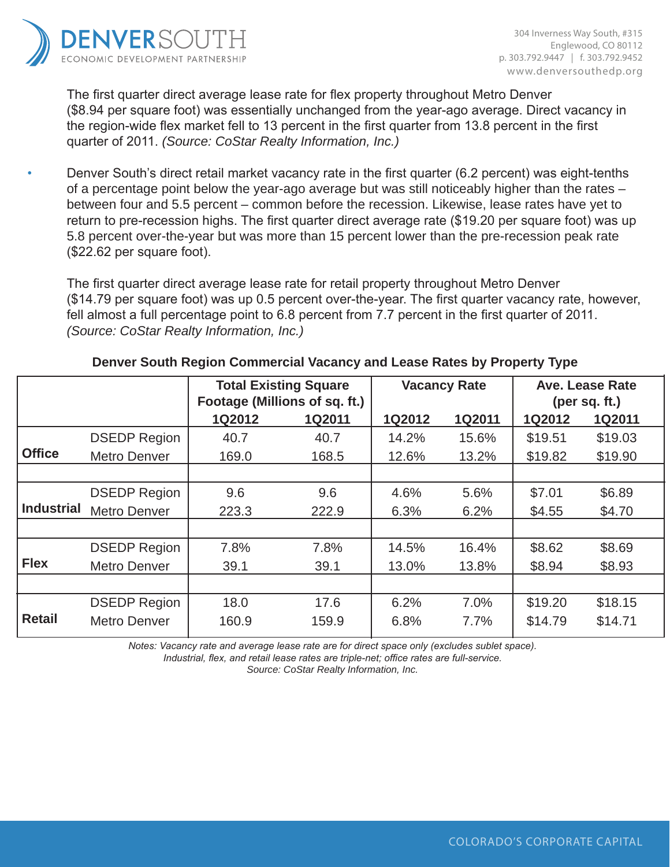

The first quarter direct average lease rate for flex property throughout Metro Denver (\$8.94 per square foot) was essentially unchanged from the year-ago average. Direct vacancy in the region-wide flex market fell to 13 percent in the first quarter from 13.8 percent in the first quarter of 2011. *(Source: CoStar Realty Information, Inc.)*

• Denver South's direct retail market vacancy rate in the first quarter (6.2 percent) was eight-tenths of a percentage point below the year-ago average but was still noticeably higher than the rates – between four and 5.5 percent – common before the recession. Likewise, lease rates have yet to return to pre-recession highs. The first quarter direct average rate (\$19.20 per square foot) was up 5.8 percent over-the-year but was more than 15 percent lower than the pre-recession peak rate (\$22.62 per square foot).

The first quarter direct average lease rate for retail property throughout Metro Denver (\$14.79 per square foot) was up 0.5 percent over-the-year. The first quarter vacancy rate, however, fell almost a full percentage point to 6.8 percent from 7.7 percent in the first quarter of 2011. *(Source: CoStar Realty Information, Inc.)*

|                   |                     | <b>Total Existing Square</b><br>Footage (Millions of sq. ft.)<br>1Q2012<br><b>1Q2011</b> |       | <b>Vacancy Rate</b> |               | Ave. Lease Rate<br>(per sq. $ft.$ ) |               |
|-------------------|---------------------|------------------------------------------------------------------------------------------|-------|---------------------|---------------|-------------------------------------|---------------|
|                   |                     |                                                                                          |       | 1Q2012              | <b>1Q2011</b> | 1Q2012                              | <b>1Q2011</b> |
|                   | <b>DSEDP Region</b> | 40.7                                                                                     | 40.7  | 14.2%               | 15.6%         | \$19.51                             | \$19.03       |
| <b>Office</b>     | Metro Denver        | 169.0                                                                                    | 168.5 | 12.6%               | 13.2%         | \$19.82                             | \$19.90       |
|                   |                     |                                                                                          |       |                     |               |                                     |               |
|                   | <b>DSEDP Region</b> | 9.6                                                                                      | 9.6   | 4.6%                | 5.6%          | \$7.01                              | \$6.89        |
| <b>Industrial</b> | <b>Metro Denver</b> | 223.3                                                                                    | 222.9 | 6.3%                | 6.2%          | \$4.55                              | \$4.70        |
|                   |                     |                                                                                          |       |                     |               |                                     |               |
|                   | <b>DSEDP Region</b> | 7.8%                                                                                     | 7.8%  | 14.5%               | 16.4%         | \$8.62                              | \$8.69        |
| <b>Flex</b>       | <b>Metro Denver</b> | 39.1                                                                                     | 39.1  | 13.0%               | 13.8%         | \$8.94                              | \$8.93        |
|                   |                     |                                                                                          |       |                     |               |                                     |               |
|                   | <b>DSEDP Region</b> | 18.0                                                                                     | 17.6  | 6.2%                | 7.0%          | \$19.20                             | \$18.15       |
| <b>Retail</b>     | Metro Denver        | 160.9                                                                                    | 159.9 | 6.8%                | 7.7%          | \$14.79                             | \$14.71       |
|                   |                     |                                                                                          |       |                     |               |                                     |               |

## **Denver South Region Commercial Vacancy and Lease Rates by Property Type**

*Notes: Vacancy rate and average lease rate are for direct space only (excludes sublet space).*

*Industrial, flex, and retail lease rates are triple-net; office rates are full-service.*

*Source: CoStar Realty Information, Inc.*